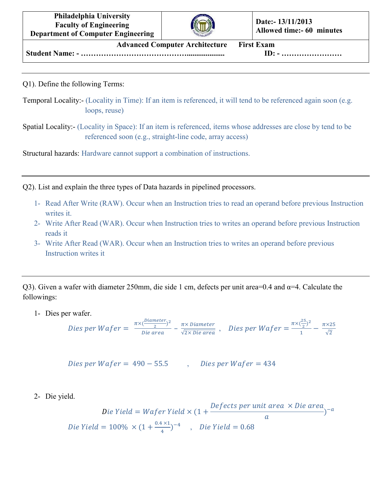**Philadelphia University Faculty of Engineering Department of Computer Engineering**



**Advanced Computer Architecture First Exam Student Name: - …………………………………….................... ID: - ……………………**

Q1). Define the following Terms:

- Temporal Locality:- (Locality in Time): If an item is referenced, it will tend to be referenced again soon (e.g. loops, reuse)
- Spatial Locality:- (Locality in Space): If an item is referenced, items whose addresses are close by tend to be referenced soon (e.g., straight-line code, array access)

Structural hazards: Hardware cannot support a combination of instructions.

Q2). List and explain the three types of Data hazards in pipelined processors.

- 1- Read After Write (RAW). Occur when an Instruction tries to read an operand before previous Instruction writes it.
- 2- Write After Read (WAR). Occur when Instruction tries to writes an operand before previous Instruction reads it
- 3- Write After Read (WAR). Occur when an Instruction tries to writes an operand before previous Instruction writes it

Q3). Given a wafer with diameter 250mm, die side 1 cm, defects per unit area=0.4 and  $\alpha$ =4. Calculate the followings:

1- Dies per wafer.

*Dies per Wafer* = 
$$
\frac{\pi \times (\frac{Diameter}{2})^2}{Die area} - \frac{\pi \times Diameter}{\sqrt{2 \times Die area}}
$$
, *Dies per Wafer* = 
$$
\frac{\pi \times (\frac{25}{2})^2}{1} - \frac{\pi \times 25}{\sqrt{2}}
$$

$$
Dies per Wafer = 490 - 55.5
$$
 *Deseve Wafer = 434*

2- Die yield.

Die Yield = Wafer Yield  $\times$  (1 + Defects per unit area  $\times$  Die area  $\alpha$  $a^{-a}$ Die Yield =  $100\% \times (1 + \frac{0.4 \times 1}{4})^{-4}$ , Die Yield = 0.68